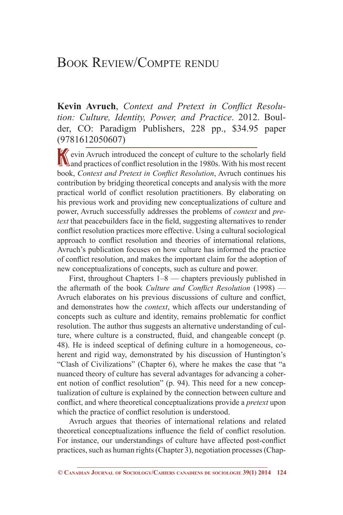## Book Review/Compte rendu

**Kevin Avruch**, *Context and Pretext in Conflict Resolution: Culture, Identity, Power, and Practice*. 2012. Boulder, CO: Paradigm Publishers, 228 pp., \$34.95 paper (9781612050607)

Kevin Avruch introduced the concept of culture to the scholarly field<br>
and practices of conflict resolution in the 1980s. With his most recent book, *Context and Pretext in Conflict Resolution*, Avruch continues his contribution by bridging theoretical concepts and analysis with the more practical world of conflict resolution practitioners. By elaborating on his previous work and providing new conceptualizations of culture and power, Avruch successfully addresses the problems of *context* and *pretext* that peacebuilders face in the field, suggesting alternatives to render conflict resolution practices more effective. Using a cultural sociological approach to conflict resolution and theories of international relations, Avruch's publication focuses on how culture has informed the practice of conflict resolution, and makes the important claim for the adoption of new conceptualizations of concepts, such as culture and power.

First, throughout Chapters 1–8 — chapters previously published in the aftermath of the book *Culture and Conflict Resolution* (1998) — Avruch elaborates on his previous discussions of culture and conflict, and demonstrates how the *context*, which affects our understanding of concepts such as culture and identity, remains problematic for conflict resolution. The author thus suggests an alternative understanding of culture, where culture is a constructed, fluid, and changeable concept (p. 48). He is indeed sceptical of defining culture in a homogeneous, coherent and rigid way, demonstrated by his discussion of Huntington's "Clash of Civilizations" (Chapter 6), where he makes the case that "a nuanced theory of culture has several advantages for advancing a coherent notion of conflict resolution" (p. 94). This need for a new conceptualization of culture is explained by the connection between culture and conflict, and where theoretical conceptualizations provide a *pretext* upon which the practice of conflict resolution is understood.

Avruch argues that theories of international relations and related theoretical conceptualizations influence the field of conflict resolution. For instance, our understandings of culture have affected post-conflict practices, such as human rights (Chapter 3), negotiation processes (Chap-

**<sup>©</sup> Canadian Journal of Sociology/Cahiers canadiens de sociologie 39(1) 2014 124**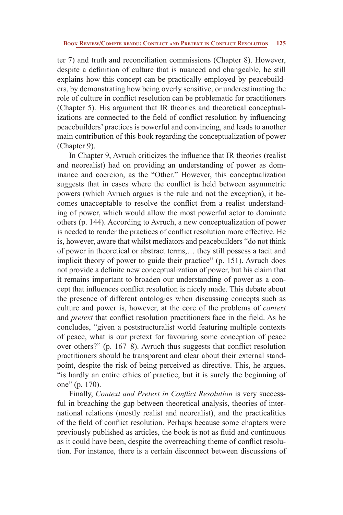ter 7) and truth and reconciliation commissions (Chapter 8). However, despite a definition of culture that is nuanced and changeable, he still explains how this concept can be practically employed by peacebuilders, by demonstrating how being overly sensitive, or underestimating the role of culture in conflict resolution can be problematic for practitioners (Chapter 5). His argument that IR theories and theoretical conceptualizations are connected to the field of conflict resolution by influencing peacebuilders' practices is powerful and convincing, and leads to another main contribution of this book regarding the conceptualization of power (Chapter 9).

In Chapter 9, Avruch criticizes the influence that IR theories (realist and neorealist) had on providing an understanding of power as dominance and coercion, as the "Other." However, this conceptualization suggests that in cases where the conflict is held between asymmetric powers (which Avruch argues is the rule and not the exception), it becomes unacceptable to resolve the conflict from a realist understanding of power, which would allow the most powerful actor to dominate others (p. 144). According to Avruch, a new conceptualization of power is needed to render the practices of conflict resolution more effective. He is, however, aware that whilst mediators and peacebuilders "do not think of power in theoretical or abstract terms,… they still possess a tacit and implicit theory of power to guide their practice" (p. 151). Avruch does not provide a definite new conceptualization of power, but his claim that it remains important to broaden our understanding of power as a concept that influences conflict resolution is nicely made. This debate about the presence of different ontologies when discussing concepts such as culture and power is, however, at the core of the problems of *context* and *pretext* that conflict resolution practitioners face in the field. As he concludes, "given a poststructuralist world featuring multiple contexts of peace, what is our pretext for favouring some conception of peace over others?" (p. 167–8). Avruch thus suggests that conflict resolution practitioners should be transparent and clear about their external standpoint, despite the risk of being perceived as directive. This, he argues, "is hardly an entire ethics of practice, but it is surely the beginning of one" (p. 170).

Finally, *Context and Pretext in Conflict Resolution* is very successful in breaching the gap between theoretical analysis, theories of international relations (mostly realist and neorealist), and the practicalities of the field of conflict resolution. Perhaps because some chapters were previously published as articles, the book is not as fluid and continuous as it could have been, despite the overreaching theme of conflict resolution. For instance, there is a certain disconnect between discussions of